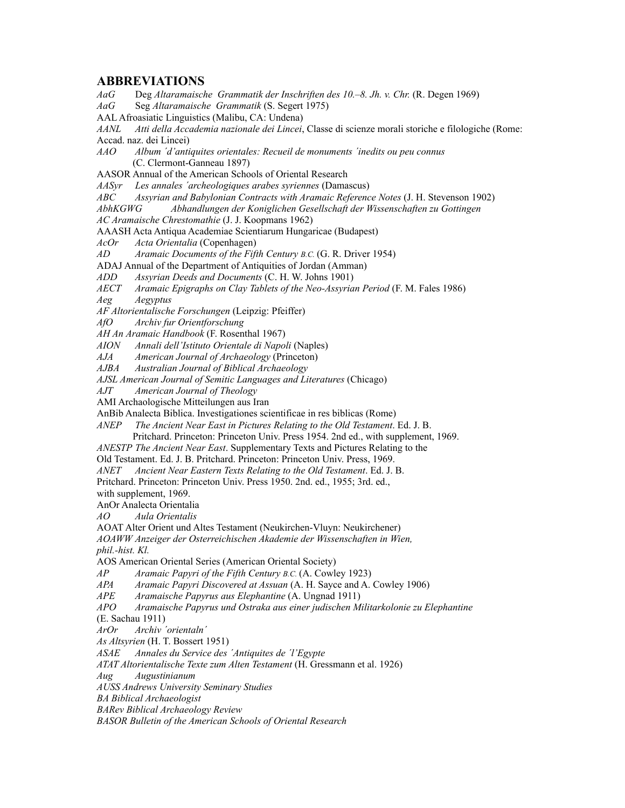**ABBREVIATIONS** *AaG* Deg *Altaramaische Grammatik der Inschriften des 10.–8. Jh. v. Chr.* (R. Degen 1969) *AaG* Seg *Altaramaische Grammatik* (S. Segert 1975) AAL Afroasiatic Linguistics (Malibu, CA: Undena) *AANL Atti della Accademia nazionale dei Lincei*, Classe di scienze morali storiche e filologiche (Rome: Accad. naz. dei Lincei) *AAO Album ´d'antiquites orientales: Recueil de monuments ´inedits ou peu connus* (C. Clermont-Ganneau 1897) AASOR Annual of the American Schools of Oriental Research *AASyr Les annales ´archeologiques arabes syriennes* (Damascus) *ABC Assyrian and Babylonian Contracts with Aramaic Reference Notes* (J. H. Stevenson 1902) *AbhKGWG Abhandlungen der Koniglichen Gesellschaft der Wissenschaften zu Gottingen AC Aramaische Chrestomathie* (J. J. Koopmans 1962) AAASH Acta Antiqua Academiae Scientiarum Hungaricae (Budapest) *AcOr Acta Orientalia* (Copenhagen) *Aramaic Documents of the Fifth Century B.C.* (G. R. Driver 1954) ADAJ Annual of the Department of Antiquities of Jordan (Amman) *ADD Assyrian Deeds and Documents* (C. H. W. Johns 1901) *AECT Aramaic Epigraphs on Clay Tablets of the Neo-Assyrian Period* (F. M. Fales 1986) *Aeg Aegyptus AF Altorientalische Forschungen* (Leipzig: Pfeiffer) *AfO Archiv fur Orientforschung AH An Aramaic Handbook* (F. Rosenthal 1967) *AION Annali dell'Istituto Orientale di Napoli* (Naples) *American Journal of Archaeology (Princeton) AJBA Australian Journal of Biblical Archaeology AJSL American Journal of Semitic Languages and Literatures* (Chicago) *AJT American Journal of Theology* AMI Archaologische Mitteilungen aus Iran AnBib Analecta Biblica. Investigationes scientificae in res biblicas (Rome) *ANEP The Ancient Near East in Pictures Relating to the Old Testament*. Ed. J. B. Pritchard. Princeton: Princeton Univ. Press 1954. 2nd ed., with supplement, 1969. *ANESTP The Ancient Near East*. Supplementary Texts and Pictures Relating to the Old Testament. Ed. J. B. Pritchard. Princeton: Princeton Univ. Press, 1969. *ANET Ancient Near Eastern Texts Relating to the Old Testament*. Ed. J. B. Pritchard. Princeton: Princeton Univ. Press 1950. 2nd. ed., 1955; 3rd. ed., with supplement, 1969. AnOr Analecta Orientalia *AO Aula Orientalis* AOAT Alter Orient und Altes Testament (Neukirchen-Vluyn: Neukirchener) *AOAWW Anzeiger der Osterreichischen Akademie der Wissenschaften in Wien, phil.-hist. Kl.* AOS American Oriental Series (American Oriental Society) *AP Aramaic Papyri of the Fifth Century B.C.* (A. Cowley 1923) *APA Aramaic Papyri Discovered at Assuan* (A. H. Sayce and A. Cowley 1906) *APE Aramaische Papyrus aus Elephantine* (A. Ungnad 1911) *APO Aramaische Papyrus und Ostraka aus einer judischen Militarkolonie zu Elephantine* (E. Sachau 1911) *ArOr Archiv ´orientaln´*

*As Altsyrien* (H. T. Bossert 1951)

*ASAE Annales du Service des ´Antiquites de ´l'Egypte*

*ATAT Altorientalische Texte zum Alten Testament* (H. Gressmann et al. 1926)

*Aug Augustinianum*

*AUSS Andrews University Seminary Studies*

*BA Biblical Archaeologist*

*BARev Biblical Archaeology Review*

*BASOR Bulletin of the American Schools of Oriental Research*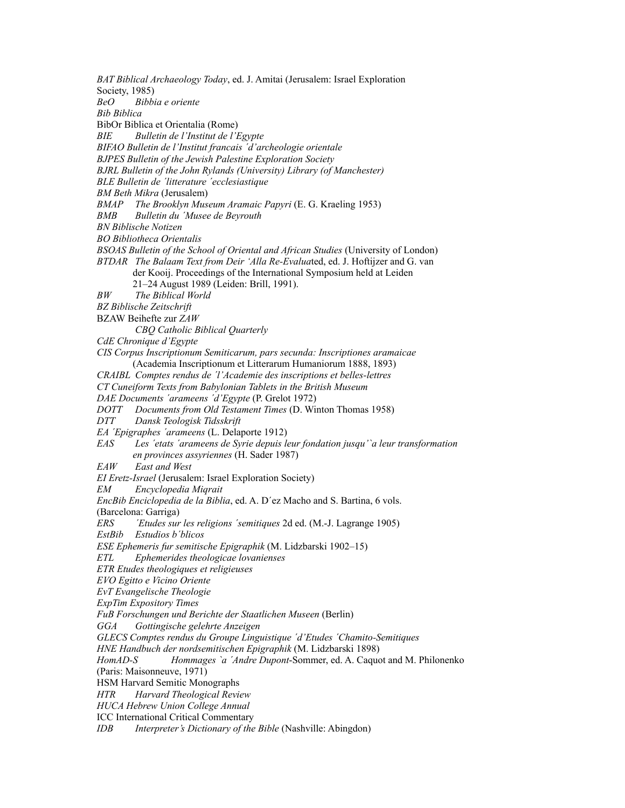*BAT Biblical Archaeology Today*, ed. J. Amitai (Jerusalem: Israel Exploration Society, 1985) *BeO Bibbia e oriente Bib Biblica* BibOr Biblica et Orientalia (Rome) *BIE Bulletin de l'Institut de l'Egypte BIFAO Bulletin de l'Institut francais ´d'archeologie orientale BJPES Bulletin of the Jewish Palestine Exploration Society BJRL Bulletin of the John Rylands (University) Library (of Manchester) BLE Bulletin de ´litterature ´ecclesiastique BM Beth Mikra* (Jerusalem) *BMAP The Brooklyn Museum Aramaic Papyri* (E. G. Kraeling 1953) *BMB Bulletin du ´Musee de Beyrouth BN Biblische Notizen BO Bibliotheca Orientalis BSOAS Bulletin of the School of Oriental and African Studies* (University of London) *BTDAR The Balaam Text from Deir 'Alla Re-Evalua*ted, ed. J. Hoftijzer and G. van der Kooij. Proceedings of the International Symposium held at Leiden 21–24 August 1989 (Leiden: Brill, 1991). *BW The Biblical World BZ Biblische Zeitschrift* BZAW Beihefte zur *ZAW CBQ Catholic Biblical Quarterly CdE Chronique d'Egypte CIS Corpus Inscriptionum Semiticarum, pars secunda: Inscriptiones aramaicae* (Academia Inscriptionum et Litterarum Humaniorum 1888, 1893) *CRAIBL Comptes rendus de ´l'Academie des inscriptions et belles-lettres CT Cuneiform Texts from Babylonian Tablets in the British Museum DAE Documents ´arameens ´d'Egypte* (P. Grelot 1972) *DOTT Documents from Old Testament Times* (D. Winton Thomas 1958) *DTT Dansk Teologisk Tidsskrift EA ´Epigraphes ´arameens* (L. Delaporte 1912) *EAS Les ´etats ´arameens de Syrie depuis leur fondation jusqu'`a leur transformation en provinces assyriennes* (H. Sader 1987) *EAW East and West EI Eretz-Israel* (Jerusalem: Israel Exploration Society) *EM Encyclopedia Miqrait EncBib Enciclopedia de la Biblia*, ed. A. D´ez Macho and S. Bartina, 6 vols. (Barcelona: Garriga) *ERS ´Etudes sur les religions ´semitiques* 2d ed. (M.-J. Lagrange 1905) *EstBib Estudios b´blicos ESE Ephemeris fur semitische Epigraphik* (M. Lidzbarski 1902–15) *ETL Ephemerides theologicae lovanienses ETR Etudes theologiques et religieuses EVO Egitto e Vicino Oriente EvT Evangelische Theologie ExpTim Expository Times FuB Forschungen und Berichte der Staatlichen Museen* (Berlin) *GGA Gottingische gelehrte Anzeigen GLECS Comptes rendus du Groupe Linguistique ´d'Etudes ´Chamito-Semitiques HNE Handbuch der nordsemitischen Epigraphik* (M. Lidzbarski 1898) *HomAD-S Hommages `a ´Andre Dupont*-Sommer, ed. A. Caquot and M. Philonenko (Paris: Maisonneuve, 1971) HSM Harvard Semitic Monographs *HTR Harvard Theological Review HUCA Hebrew Union College Annual* ICC International Critical Commentary *IDB Interpreter's Dictionary of the Bible* (Nashville: Abingdon)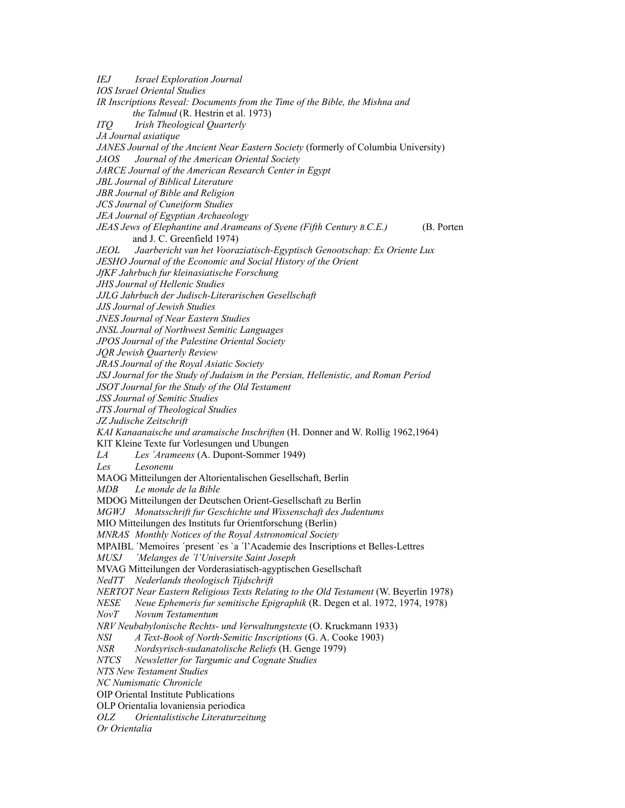*IEJ Israel Exploration Journal IOS Israel Oriental Studies IR Inscriptions Reveal: Documents from the Time of the Bible, the Mishna and the Talmud* (R. Hestrin et al. 1973) *ITQ Irish Theological Quarterly JA Journal asiatique JANES Journal of the Ancient Near Eastern Society* (formerly of Columbia University) *JAOS Journal of the American Oriental Society JARCE Journal of the American Research Center in Egypt JBL Journal of Biblical Literature JBR Journal of Bible and Religion JCS Journal of Cuneiform Studies JEA Journal of Egyptian Archaeology JEAS Jews of Elephantine and Arameans of Syene (Fifth Century B.C.E.)* (B. Porten and J. C. Greenfield 1974) *JEOL Jaarbericht van het Vooraziatisch-Egyptisch Genootschap: Ex Oriente Lux JESHO Journal of the Economic and Social History of the Orient JfKF Jahrbuch fur kleinasiatische Forschung JHS Journal of Hellenic Studies JJLG Jahrbuch der Judisch-Literarischen Gesellschaft JJS Journal of Jewish Studies JNES Journal of Near Eastern Studies JNSL Journal of Northwest Semitic Languages JPOS Journal of the Palestine Oriental Society JQR Jewish Quarterly Review JRAS Journal of the Royal Asiatic Society JSJ Journal for the Study of Judaism in the Persian, Hellenistic, and Roman Period JSOT Journal for the Study of the Old Testament JSS Journal of Semitic Studies JTS Journal of Theological Studies JZ Judische Zeitschrift KAI Kanaanaische und aramaische Inschriften* (H. Donner and W. Rollig 1962,1964) KlT Kleine Texte fur Vorlesungen und Ubungen *LA Les ´Arameens* (A. Dupont-Sommer 1949) *Les Lesonenu* MAOG Mitteilungen der Altorientalischen Gesellschaft, Berlin *MDB Le monde de la Bible* MDOG Mitteilungen der Deutschen Orient-Gesellschaft zu Berlin *MGWJ Monatsschrift fur Geschichte und Wissenschaft des Judentums* MIO Mitteilungen des Instituts fur Orientforschung (Berlin) *MNRAS Monthly Notices of the Royal Astronomical Society* MPAIBL ´Memoires ´present ´es `a ´l'Academie des Inscriptions et Belles-Lettres *MUSJ ´Melanges de ´l'Universite Saint Joseph* MVAG Mitteilungen der Vorderasiatisch-agyptischen Gesellschaft *NedTT Nederlands theologisch Tijdschrift NERTOT Near Eastern Religious Texts Relating to the Old Testament* (W. Beyerlin 1978) *NESE Neue Ephemeris fur semitische Epigraphik* (R. Degen et al. 1972, 1974, 1978) *NovT Novum Testamentum NRV Neubabylonische Rechts- und Verwaltungstexte* (O. Kruckmann 1933) *NSI A Text-Book of North-Semitic Inscriptions* (G. A. Cooke 1903) *NSR Nordsyrisch-sudanatolische Reliefs* (H. Genge 1979) *NTCS Newsletter for Targumic and Cognate Studies NTS New Testament Studies NC Numismatic Chronicle* OIP Oriental Institute Publications OLP Orientalia lovaniensia periodica *OLZ Orientalistische Literaturzeitung Or Orientalia*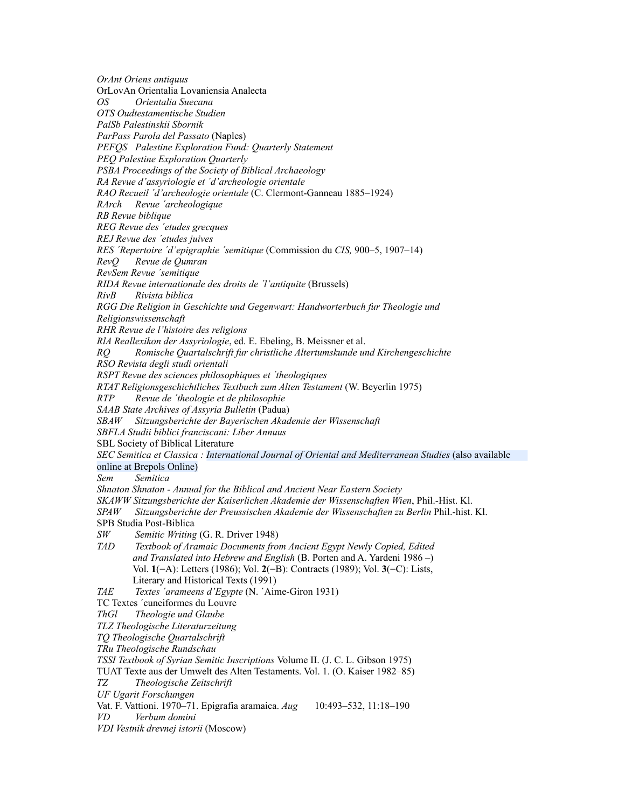*OrAnt Oriens antiquus* OrLovAn Orientalia Lovaniensia Analecta *OS Orientalia Suecana OTS Oudtestamentische Studien PalSb Palestinskii Sbornik ParPass Parola del Passato* (Naples) *PEFQS Palestine Exploration Fund: Quarterly Statement PEQ Palestine Exploration Quarterly PSBA Proceedings of the Society of Biblical Archaeology RA Revue d'assyriologie et ´d'archeologie orientale RAO Recueil ´d'archeologie orientale* (C. Clermont-Ganneau 1885–1924) *RArch Revue ´archeologique RB Revue biblique REG Revue des ´etudes grecques REJ Revue des ´etudes juives RES ´Repertoire ´d'epigraphie ´semitique* (Commission du *CIS,* 900–5, 1907–14) *RevQ Revue de Qumran RevSem Revue ´semitique RIDA Revue internationale des droits de ´l'antiquite* (Brussels) *RivB Rivista biblica RGG Die Religion in Geschichte und Gegenwart: Handworterbuch fur Theologie und Religionswissenschaft RHR Revue de l'histoire des religions RlA Reallexikon der Assyriologie*, ed. E. Ebeling, B. Meissner et al. *RQ Romische Quartalschrift fur christliche Altertumskunde und Kirchengeschichte RSO Revista degli studi orientali RSPT Revue des sciences philosophiques et ´theologiques RTAT Religionsgeschichtliches Textbuch zum Alten Testament* (W. Beyerlin 1975) *RTP Revue de ´theologie et de philosophie SAAB State Archives of Assyria Bulletin* (Padua) *SBAW Sitzungsberichte der Bayerischen Akademie der Wissenschaft SBFLA Studii biblici franciscani: Liber Annuus* SBL Society of Biblical Literature *SEC Semitica et Classica : International Journal of Oriental and Mediterranean Studies* (also available online at Brepols Online) *Sem Semitica Shnaton Shnaton - Annual for the Biblical and Ancient Near Eastern Society SKAWW Sitzungsberichte der Kaiserlichen Akademie der Wissenschaften Wien*, Phil.-Hist. Kl. *SPAW Sitzungsberichte der Preussischen Akademie der Wissenschaften zu Berlin* Phil.-hist. Kl. SPB Studia Post-Biblica *SW Semitic Writing* (G. R. Driver 1948) *TAD Textbook of Aramaic Documents from Ancient Egypt Newly Copied, Edited and Translated into Hebrew and English* (B. Porten and A. Yardeni 1986 –) Vol. **1**(=A): Letters (1986); Vol. **2**(=B): Contracts (1989); Vol. **3**(=C): Lists, Literary and Historical Texts (1991) *TAE Textes ´arameens d'Egypte* (N. ´Aime-Giron 1931) TC Textes ´cuneiformes du Louvre *ThGl Theologie und Glaube TLZ Theologische Literaturzeitung TQ Theologische Quartalschrift TRu Theologische Rundschau TSSI Textbook of Syrian Semitic Inscriptions* Volume II. (J. C. L. Gibson 1975) TUAT Texte aus der Umwelt des Alten Testaments. Vol. 1. (O. Kaiser 1982–85) *TZ Theologische Zeitschrift UF Ugarit Forschungen* Vat. F. Vattioni. 1970–71. Epigrafia aramaica. *Aug* 10:493–532, 11:18–190 *VD Verbum domini VDI Vestnik drevnej istorii* (Moscow)